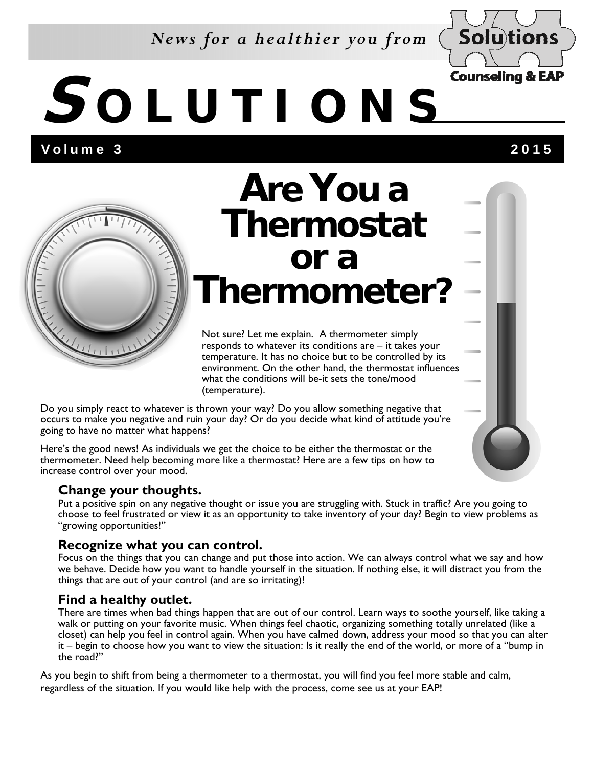#### *News for a healthier you from*



## **S OLUTIONS**

Volume 3 2015



### **Are You a Thermostat or a Thermometer?**

Not sure? Let me explain. A thermometer simply responds to whatever its conditions are – it takes your temperature. It has no choice but to be controlled by its environment. On the other hand, the thermostat influences what the conditions will be-it sets the tone/mood (temperature).

Do you simply react to whatever is thrown your way? Do you allow something negative that occurs to make you negative and ruin your day? Or do you decide what kind of attitude you're going to have no matter what happens?

Here's the good news! As individuals we get the choice to be either the thermostat or the thermometer. Need help becoming more like a thermostat? Here are a few tips on how to increase control over your mood.

#### **Change your thoughts.**

Put a positive spin on any negative thought or issue you are struggling with. Stuck in traffic? Are you going to choose to feel frustrated or view it as an opportunity to take inventory of your day? Begin to view problems as "growing opportunities!"

#### **Recognize what you can control.**

Focus on the things that you can change and put those into action. We can always control what we say and how we behave. Decide how you want to handle yourself in the situation. If nothing else, it will distract you from the things that are out of your control (and are so irritating)!

#### **Find a healthy outlet.**

There are times when bad things happen that are out of our control. Learn ways to soothe yourself, like taking a walk or putting on your favorite music. When things feel chaotic, organizing something totally unrelated (like a closet) can help you feel in control again. When you have calmed down, address your mood so that you can alter it – begin to choose how you want to view the situation: Is it really the end of the world, or more of a "bump in the road?"

As you begin to shift from being a thermometer to a thermostat, you will find you feel more stable and calm, regardless of the situation. If you would like help with the process, come see us at your EAP!